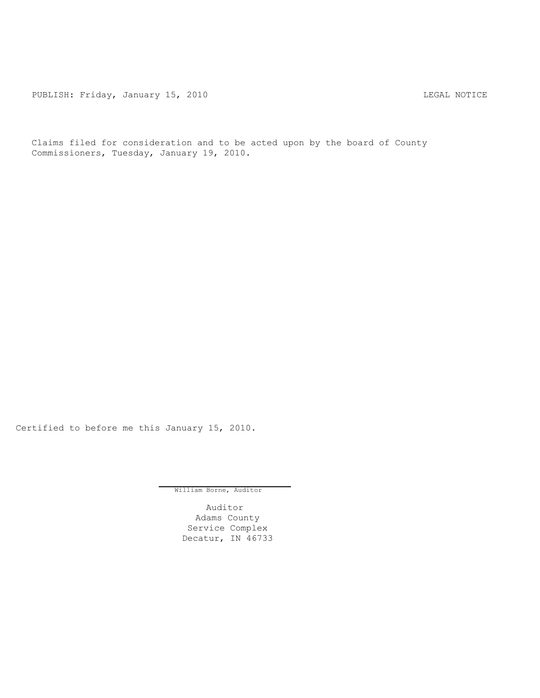PUBLISH: Friday, January 15, 2010 CHA CHANGE CONTROL CONTROL CONTROL CONTROL CONTROL CONTROL CONTROL CONTROL COMM

Claims filed for consideration and to be acted upon by the board of County Commissioners, Tuesday, January 19, 2010.

Certified to before me this January 15, 2010.

William Borne, Auditor

Auditor Adams County Service Complex Decatur, IN 46733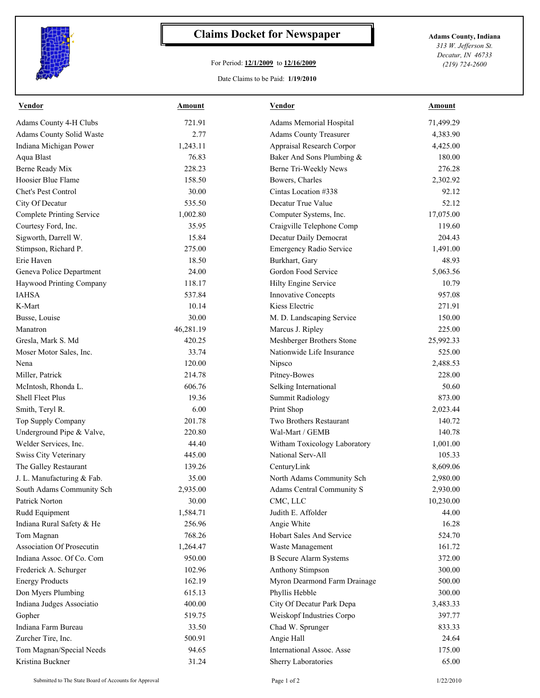

## **Claims Docket for Newspaper Adams County, Indiana**

## For Period: **12/1/2009** to **12/16/2009**

Date Claims to be Paid: **1/19/2010**

*313 W. Jefferson St. Decatur, IN 46733 (219) 724-2600*

| <b>Vendor</b>                    | Amount    | <b>Vendor</b>                 | <b>Amount</b> |
|----------------------------------|-----------|-------------------------------|---------------|
| Adams County 4-H Clubs           | 721.91    | Adams Memorial Hospital       | 71,499.29     |
| Adams County Solid Waste         | 2.77      | <b>Adams County Treasurer</b> | 4,383.90      |
| Indiana Michigan Power           | 1,243.11  | Appraisal Research Corpor     | 4,425.00      |
| Aqua Blast                       | 76.83     | Baker And Sons Plumbing &     | 180.00        |
| Berne Ready Mix                  | 228.23    | Berne Tri-Weekly News         | 276.28        |
| Hoosier Blue Flame               | 158.50    | Bowers, Charles               | 2,302.92      |
| Chet's Pest Control              | 30.00     | Cintas Location #338          | 92.12         |
| City Of Decatur                  | 535.50    | Decatur True Value            | 52.12         |
| <b>Complete Printing Service</b> | 1,002.80  | Computer Systems, Inc.        | 17,075.00     |
| Courtesy Ford, Inc.              | 35.95     | Craigville Telephone Comp     | 119.60        |
| Sigworth, Darrell W.             | 15.84     | Decatur Daily Democrat        | 204.43        |
| Stimpson, Richard P.             | 275.00    | Emergency Radio Service       | 1,491.00      |
| Erie Haven                       | 18.50     | Burkhart, Gary                | 48.93         |
| Geneva Police Department         | 24.00     | Gordon Food Service           | 5,063.56      |
| Haywood Printing Company         | 118.17    | Hilty Engine Service          | 10.79         |
| <b>IAHSA</b>                     | 537.84    | <b>Innovative Concepts</b>    | 957.08        |
| K-Mart                           | 10.14     | Kiess Electric                | 271.91        |
| Busse, Louise                    | 30.00     | M. D. Landscaping Service     | 150.00        |
| Manatron                         | 46,281.19 | Marcus J. Ripley              | 225.00        |
| Gresla, Mark S. Md               | 420.25    | Meshberger Brothers Stone     | 25,992.33     |
| Moser Motor Sales, Inc.          | 33.74     | Nationwide Life Insurance     | 525.00        |
| Nena                             | 120.00    | Nipsco                        | 2,488.53      |
| Miller, Patrick                  | 214.78    | Pitney-Bowes                  | 228.00        |
| McIntosh, Rhonda L.              | 606.76    | Selking International         | 50.60         |
| <b>Shell Fleet Plus</b>          | 19.36     | <b>Summit Radiology</b>       | 873.00        |
| Smith, Teryl R.                  | 6.00      | Print Shop                    | 2,023.44      |
| Top Supply Company               | 201.78    | Two Brothers Restaurant       | 140.72        |
| Underground Pipe & Valve,        | 220.80    | Wal-Mart / GEMB               | 140.78        |
| Welder Services, Inc.            | 44.40     | Witham Toxicology Laboratory  | 1,001.00      |
| Swiss City Veterinary            | 445.00    | National Serv-All             | 105.33        |
| The Galley Restaurant            | 139.26    | CenturyLink                   | 8,609.06      |
| J. L. Manufacturing & Fab.       | 35.00     | North Adams Community Sch     | 2,980.00      |
| South Adams Community Sch        | 2,935.00  | Adams Central Community S     | 2,930.00      |
| Patrick Norton                   | 30.00     | CMC, LLC                      | 10,230.00     |
| Rudd Equipment                   | 1,584.71  | Judith E. Affolder            | 44.00         |
| Indiana Rural Safety & He        | 256.96    | Angie White                   | 16.28         |
| Tom Magnan                       | 768.26    | Hobart Sales And Service      | 524.70        |
| Association Of Prosecutin        | 1,264.47  | Waste Management              | 161.72        |
| Indiana Assoc. Of Co. Com        | 950.00    | <b>B</b> Secure Alarm Systems | 372.00        |
| Frederick A. Schurger            | 102.96    | Anthony Stimpson              | 300.00        |
| <b>Energy Products</b>           | 162.19    | Myron Dearmond Farm Drainage  | 500.00        |
| Don Myers Plumbing               | 615.13    | Phyllis Hebble                | 300.00        |
| Indiana Judges Associatio        | 400.00    | City Of Decatur Park Depa     | 3,483.33      |
| Gopher                           | 519.75    | Weiskopf Industries Corpo     | 397.77        |
| Indiana Farm Bureau              | 33.50     | Chad W. Sprunger              | 833.33        |
| Zurcher Tire, Inc.               | 500.91    | Angie Hall                    | 24.64         |
| Tom Magnan/Special Needs         | 94.65     | International Assoc. Asse     | 175.00        |
| Kristina Buckner                 | 31.24     | Sherry Laboratories           | 65.00         |